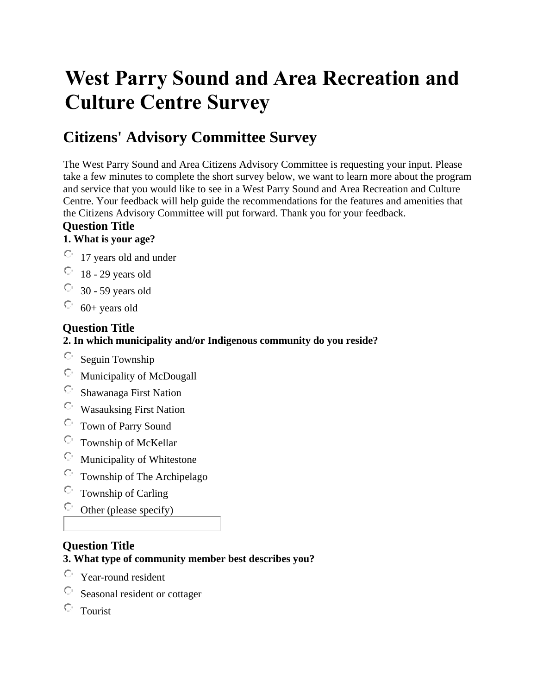# **West Parry Sound and Area Recreation and Culture Centre Survey**

# **Citizens' Advisory Committee Survey**

The West Parry Sound and Area Citizens Advisory Committee is requesting your input. Please take a few minutes to complete the short survey below, we want to learn more about the program and service that you would like to see in a West Parry Sound and Area Recreation and Culture Centre. Your feedback will help guide the recommendations for the features and amenities that the Citizens Advisory Committee will put forward. Thank you for your feedback.

#### **Question Title**

#### **1. What is your age?**

- 17 years old and under
- $\degree$  18 29 years old
- $\degree$  30 59 years old
- $\degree$  60+ years old

#### **Question Title**

## **2. In which municipality and/or Indigenous community do you reside?**

- $\circ$  Seguin Township
- Municipality of McDougall
- Shawanaga First Nation
- Wasauksing First Nation
- Town of Parry Sound
- $\circ$  Township of McKellar
- Municipality of Whitestone
- Township of The Archipelago
- Township of Carling  $\circ$
- $\circ$ Other (please specify)

#### **Question Title**

# **3. What type of community member best describes you?**

- $\bigcirc$ Year-round resident
- Seasonal resident or cottager
- $\circ$ Tourist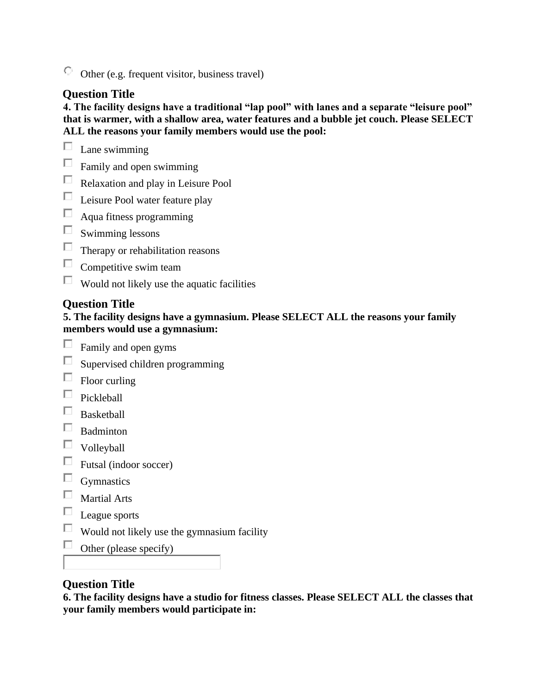$\circ$  Other (e.g. frequent visitor, business travel)

#### **Question Title**

**4. The facility designs have a traditional "lap pool" with lanes and a separate "leisure pool" that is warmer, with a shallow area, water features and a bubble jet couch. Please SELECT ALL the reasons your family members would use the pool:** 



- $\Box$ Family and open swimming
- $\Box$ Relaxation and play in Leisure Pool
- $\Box$  Leisure Pool water feature play
- $\Box$  Aqua fitness programming
- $\Box$ Swimming lessons
- $\Box$  Therapy or rehabilitation reasons
- $\Box$ Competitive swim team
- $\Box$  Would not likely use the aquatic facilities

#### **Question Title**

#### **5. The facility designs have a gymnasium. Please SELECT ALL the reasons your family members would use a gymnasium:**

- $\Box$ Family and open gyms
- $\Box$ Supervised children programming
- $\Box$  Floor curling
- $\hfill\Box$  Pickleball
- $\quad \Box$ <br> Basketball
- $\square$  Badminton
- $\hfill \Box$ Volleyball
- $\Box$  Futsal (indoor soccer)
- $\Box$  Gymnastics
- $\Box$ Martial Arts
- $\Box$  League sports
- $\Box$  Would not likely use the gymnasium facility
- $\Box$ Other (please specify)

#### **Question Title**

**6. The facility designs have a studio for fitness classes. Please SELECT ALL the classes that your family members would participate in:**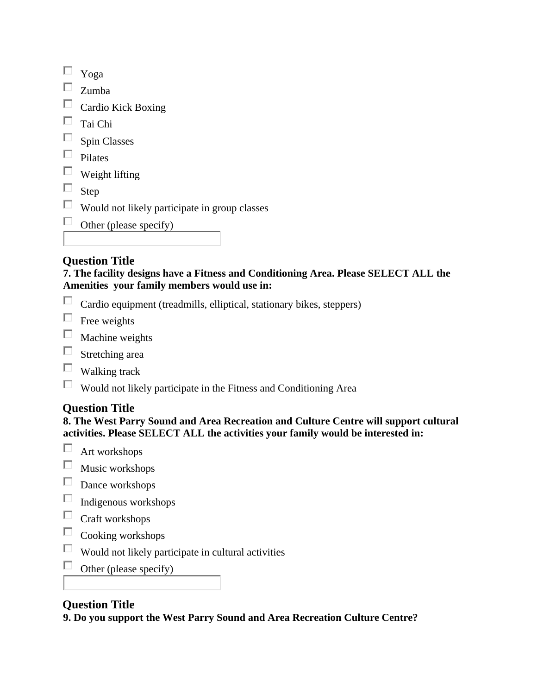|--|--|

- $\square$  Zumba
- $\Box$  Cardio Kick Boxing
- $\qquad \qquad \Box$  Tai Chi
- $\square$  Spin Classes
- $\Box$  Pilates
- $\hfill\Box\ \text{Weight lifting}$
- $\square$  Step
- $\Box$  Would not likely participate in group classes
- $\Box$  Other (please specify)

| <b>Question Title</b> |  |
|-----------------------|--|

**7. The facility designs have a Fitness and Conditioning Area. Please SELECT ALL the Amenities your family members would use in:** 

- $\Box$ Cardio equipment (treadmills, elliptical, stationary bikes, steppers)
- $\Box$  Free weights
- $\Box$  Machine weights
- $\Box$  Stretching area
- $\Box$  Walking track
- $\Box$  Would not likely participate in the Fitness and Conditioning Area

## **Question Title**

**8. The West Parry Sound and Area Recreation and Culture Centre will support cultural activities. Please SELECT ALL the activities your family would be interested in:** 

- $\Box$ Art workshops
- $\Box$ Music workshops
- $\Box$  Dance workshops
- $\hfill\Box\quad$  Indigenous workshops
- $\Box$  Craft workshops
- $\Box$ Cooking workshops
- $\Box$  Would not likely participate in cultural activities
- $\Box$ Other (please specify)

#### **Question Title**

**9. Do you support the West Parry Sound and Area Recreation Culture Centre?**